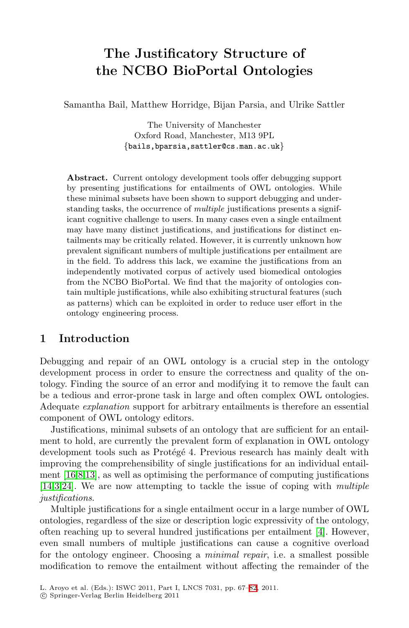# **The Justificatory Structure of the NCBO BioPortal Ontologies**

Samantha Bail, Matthew Horridge, Bijan Parsia, and Ulrike Sattler

The University of Manchester Oxford Road, Manchester, M13 9PL *{*bails,bparsia,sattler@cs.man.ac.uk*}*

**Abstract.** Current ontology development tools offer debugging support by presenting justifications for entailments of OWL ontologies. While these minimal subsets have been shown to support debugging and understanding tasks, the occurrence of *multiple* justifications presents a significant cognitive challenge to users. In many cases even a single entailment may have many distinct justifications, and justifications for distinct entailments may be critically related. However, it is currently unknown how prevalent significant numbers of multiple justifications per entailment are in the field. To address this lack, we examine the justifications from an independently motivated corpus of actively used biomedical ontologies from the NCBO BioPortal. We find that the majority of ontologies contain multiple justifications, while also exhibiting structural features (such as patterns) which can be exploited in order to reduce user effort in the ontology engineering process.

## **1 Introduction**

Debugging and repair of an OWL ontology is a crucial step in the ontology development process in order to ensure the correctness and quality of the ontology. Finding the source of an error and modifying it to remove the fault can be a tedious and error-prone task in large and often complex OWL ontologies. Adequate *explanation* support for arbitrary entailments is therefore an essential component of OWL ontology editors.

Justifications, minimal subsets of an ontology that are sufficient for an entailment to hold, are currently the prevalent form [of](#page-14-0) explanation in OWL ontology development tools such as Protégé 4. Previous research has mainly dealt with improving the comprehensibility of single justifications for an individual entailment [16,8,13], as well as optimising the performance of computing justifications [14,3,24]. We are now attempting to tackle the issue of coping with *multiple justifications*.

Multiple justifications for a single entailment occur in a large number of OWL ontologies, regardless of the size or description logic expressivity of the ontology, often reaching up to several hundred justifications per entailment [4]. However, even small numbers of multiple justifications can cause a cognitive overload for the ontology engineer. Choosing a *minimal repair*, i.e. a smallest possible modification to remove the entailment without affecting the remainder of the

L. Aroyo et al. (Eds.): ISWC 2011, Part I, LNCS 7031, pp. 67–82, 2011.

<sup>-</sup>c Springer-Verlag Berlin Heidelberg 2011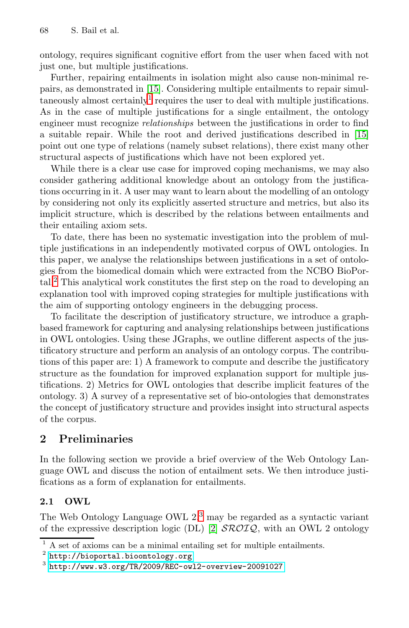ontology, requires significant cognitive effort from the us[er](#page-15-0) [w](#page-15-0)hen faced with not just one, but multiple justifications.

Further, repairing entailments in isolation might also cause non-minimal repairs, as demonstrated in [15]. Considering multiple entailments to repair simultaneously almost certainly<sup>1</sup> requires the user to deal with multiple justifications. As in the case of multiple justifications for a single entailment, the ontology engineer must recognize *relationships* between the justifications in order to find a suitable repair. While the root and derived justifications described in [15] point out one type of relations (namely subset relations), there exist many other structural aspects of justifications which have not been explored yet.

While there is a clear use case for improved coping mechanisms, we may also consider gathering additional knowledge about an ontology from the justifications occurring in it. A user may want to learn about the modelling of an ontology by considering not only its explicitly asserted structure and metrics, but also its implicit structure, which is described by the relations between entailments and their entailing axiom sets.

To date, there has been no systematic investigation into the problem of multiple justifications in an independently motivated corpus of OWL ontologies. In this paper, we analyse the relationships between justifications in a set of ontologies from the biomedical domain which were extracted from the NCBO BioPortal.<sup>2</sup> This analytical work constitutes the first step on the road to developing an explanation tool with improved coping strategies for multiple justifications with the aim of supporting ontology engineers in the debugging process.

To facilitate the description of justificatory structure, we introduce a graphbased framework for capturing and analysing relationships between justifications in OWL ontologies. Using these JGraphs, we outline different aspects of the justificatory structure and perform an analysis of an ontology corpus. The contributions of this paper are: 1) A framework to compute and describe the justificatory structure as the foundation for improved explanation support for multiple justifications. 2) Metrics for OWL ontologies that describe implicit features of the ontology. 3) A survey of a representative set of bio-ontologies that demonstrates the concept of justificatory structure and provides insight into structural aspects of the corpus.

# **2 Preliminarie[s](#page-14-1)**

In the following section we provide a brief overview of the Web Ontology Lan[guage OWL and d](http://bioportal.bioontology.org)iscuss the notion of entailment sets. We then introduce justi[fications as a form of explanation for ent](http://www.w3.org/TR/2009/REC-owl2-overview-20091027)ailments.

## **2.1 OWL**

The Web Ontology Language OWL 2,<sup>3</sup> may be regarded as a syntactic variant of the expressive description logic (DL) [2]  $\mathcal{SROIQ}$ , with an OWL 2 ontology

 $<sup>1</sup>$  A set of axioms can be a minimal entailing set for multiple entailments.</sup>

 $^{\rm 2}$ http://bioportal.bioontology.org

<sup>3</sup> http://www.w3.org/TR/2009/REC-owl2-overview-20091027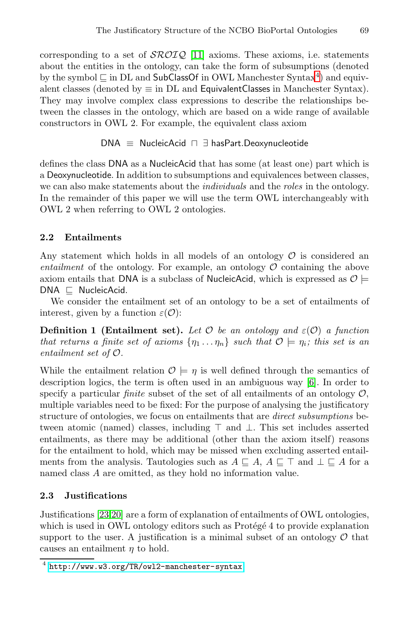corresponding to a set of  $\mathcal{SROIQ}$  [11] axioms. These axioms, i.e. statements about the entities in the ontology, can take the form of subsumptions (denoted by the symbol  $\sqsubseteq$  in DL and SubClassOf in OWL Manchester Syntax<sup>4</sup>) and equivalent classes (denoted by  $\equiv$  in DL and EquivalentClasses in Manchester Syntax). They may involve complex class expressions to describe the relationships between the classes in the ontology, which are based on a wide range of available constructors in OWL 2. For example, the equivalent class axiom

#### DNA ≡ NucleicAcid ∃ hasPart.Deoxynucleotide

defines the class DNA as a NucleicAcid that has some (at least one) part which is a Deoxynucleotide. In addition to subsumptions and equivalences between classes, we can also make statements about the *individuals* and the *roles* in the ontology. In the remainder of this paper we will use the term OWL interchangeably with OWL 2 when referring to OWL 2 ontologies.

#### **2.2 Entailments**

Any statement which holds in all models of an ontology  $\mathcal O$  is considered an *entailment* of the ontology. For example, an ontology  $\mathcal O$  containing the above axiom entails that DNA is a subclass of NucleicAcid, which is expressed as  $\mathcal{O} \models$  $DNA \subseteq NucleicAcid$ .

We consider the entailment set of an onto[log](#page-14-2)y to be a set of entailments of interest, given by a function  $\varepsilon(\mathcal{O})$ :

**Definition 1 (Entailment set).** *Let*  $O$  *be an ontology and*  $\varepsilon(O)$  *a function that returns a finite set of axioms*  $\{\eta_1 \dots \eta_n\}$  *such that*  $\mathcal{O} \models \eta_i$ *; this set is an entailment set of* O*.*

While the entailment relation  $\mathcal{O} \models \eta$  is well defined through the semantics of description logics, the term is often used in an ambiguous way [6]. In order to specify a particular *finite* subset of the set of all entailments of an ontology  $\mathcal{O}$ , multiple variables need to be fixed: For the purpose of analysing the justificatory structure of ontologies, we focus on entailments that are *direct subsumptions* be[tw](#page-15-1)een atomic (named) classes, including  $\top$  and  $\bot$ . This set includes asserted entailments, as there may be additional (other than the axiom itself) reasons for the entailment to hold, which may be missed when excluding asserted entailments from the analysis. Tautologies such as  $A \subseteq A$ ,  $A \subseteq \top$  and  $\bot \subseteq A$  for a named class A [are omitted, as](http://www.w3.org/TR/owl2-manchester-syntax) they hold no information value.

#### **2.3 Justifications**

Justifications [23,20] are a form of explanation of entailments of OWL ontologies, which is used in OWL ontology editors such as Protégé 4 to provide explanation support to the user. A justification is a minimal subset of an ontology  $\mathcal O$  that causes an entailment  $\eta$  to hold.

<sup>4</sup> http://www.w3.org/TR/owl2-manchester-syntax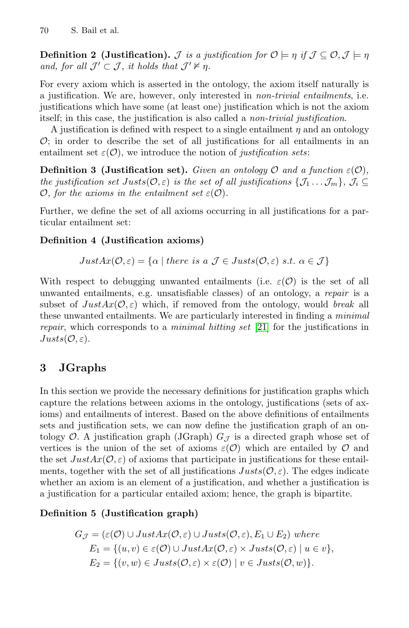**Definition 2 (Justification).**  $\mathcal{J}$  *is a justification for*  $\mathcal{O} \models \eta$  *if*  $\mathcal{J} \subseteq \mathcal{O}, \mathcal{J} \models \eta$ *and, for all*  $\mathcal{J}' \subset \mathcal{J}$ *, it holds that*  $\mathcal{J}' \not\models \eta$ *.* 

For every axiom which is asserted in the ontology, the axiom itself naturally is a justification. We are, however, only interested in *non-trivial entailments*, i.e. justifications which have some (at least one) justification which is not the axiom itself; in this case, the justification is also called a *non-trivial justification*.

A justification is defined with respect to a single entailment  $\eta$  and an ontology  $\mathcal{O}$ ; in order to describe the set of all justifications for all entailments in an entailment set  $\varepsilon(\mathcal{O})$ , we introduce the notion of *justification sets*:

**Definition 3 (Justification set).** *Given an ontology*  $\mathcal{O}$  *and a function*  $\varepsilon(\mathcal{O})$ *, the justification set*  $Justs(\mathcal{O},\varepsilon)$  *is the set of all justifications*  $\{\mathcal{J}_1 \dots \mathcal{J}_m\}$ *,*  $\mathcal{J}_i \subset$  $O$ *, for the axioms in the entailment set*  $\varepsilon(O)$ *.* 

Further, we define the set of all axioms occurring in all justifications for a particular entailment set:

#### **Definition 4 (Justification a[xiom](#page-15-2)s)**

$$
JustAx(\mathcal{O},\varepsilon) = \{ \alpha \mid there \ is \ a \ \mathcal{J} \in Justs(\mathcal{O},\varepsilon) \ s.t. \ \alpha \in \mathcal{J} \}
$$

With respect to debugging unwanted entailments (i.e.  $\varepsilon(\mathcal{O})$  is the set of all unwanted entailments, e.g. unsatisfiable classes) of an ontology, a *repair* is a subset of  $JustAx(\mathcal{O},\varepsilon)$  which, if removed from the ontology, would *break* all these unwanted entailments. We are particularly interested in finding a *minimal repair*, which corresponds to a *minimal hitting set* [21] for the justifications in  $Justs(\mathcal{O},\varepsilon).$ 

# **3 JGraphs**

In this section we provide the necessary definitions for justification graphs which capture the relations between axioms in the ontology, justifications (sets of axioms) and entailments of interest. Based on the above definitions of entailments sets and justification sets, we can now define the justification graph of an ontology  $\mathcal{O}$ . A justification graph (JGraph)  $G_{\mathcal{J}}$  is a directed graph whose set of vertices is the union of the set of axioms  $\varepsilon(\mathcal{O})$  which are entailed by  $\mathcal O$  and the set  $JustAx(\mathcal{O},\varepsilon)$  of axioms that participate in justifications for these entailments, together with the set of all justifications  $Justs(\mathcal{O}, \varepsilon)$ . The edges indicate whether an axiom is an element of a justification, and whether a justification is a justification for a particular entailed axiom; hence, the graph is bipartite.

## **Definition 5 (Justification graph)**

$$
G_{\mathcal{J}} = (\varepsilon(\mathcal{O}) \cup JustAx(\mathcal{O}, \varepsilon) \cup Justs(\mathcal{O}, \varepsilon), E_1 \cup E_2) \text{ where}
$$
  
\n
$$
E_1 = \{(u, v) \in \varepsilon(\mathcal{O}) \cup JustAx(\mathcal{O}, \varepsilon) \times Justs(\mathcal{O}, \varepsilon) \mid u \in v\},
$$
  
\n
$$
E_2 = \{(v, w) \in Justs(\mathcal{O}, \varepsilon) \times \varepsilon(\mathcal{O}) \mid v \in Justs(\mathcal{O}, w)\}.
$$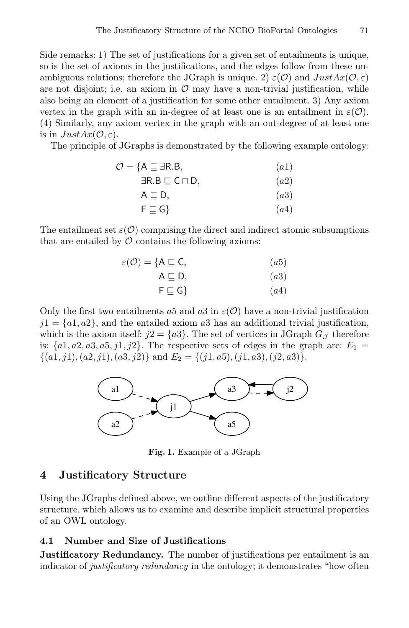Side remarks: 1) The set of justifications for a given set of entailments is unique, so is the set of axioms in the justifications, and the edges follow from these unambiguous relations; therefore the JGraph is unique. 2)  $\varepsilon(\mathcal{O})$  and  $JustAx(\mathcal{O},\varepsilon)$ are not disjoint; i.e. an axiom in  $\mathcal O$  may have a non-trivial justification, while also being an element of a justification for some other entailment. 3) Any axiom vertex in the graph with an in-degree of at least one is an entailment in  $\varepsilon(\mathcal{O})$ . (4) Similarly, any axiom vertex in the graph with an out-degree of at least one is in  $JustAx(\mathcal{O},\varepsilon)$ .

The principle of JGraphs is demonstrated by the following example ontology:

$$
\mathcal{O} = \{A \sqsubseteq \exists R.B, \qquad (a1)
$$
  

$$
\exists R.B \sqsubseteq \mathsf{C} \sqcap \mathsf{D}, \qquad (a2)
$$
  

$$
A \sqsubseteq \mathsf{D}, \qquad (a3)
$$
  

$$
\mathsf{F} \sqsubseteq \mathsf{G} \} \qquad (a4)
$$

The entailment set  $\varepsilon(\mathcal{O})$  comprising the direct and indirect atomic subsumptions that are entailed by  $\mathcal O$  contains the following axioms:

$$
\varepsilon(\mathcal{O}) = \{ A \sqsubseteq C, \qquad (a5) A \sqsubseteq D, \qquad (a3) F \sqsubseteq G \}
$$

Only the first two entailments a5 and a3 in  $\varepsilon(\mathcal{O})$  have a non-trivial justification  $j1 = \{a1, a2\}$ , and the entailed axiom as has an additional trivial justification, which is the axiom itself:  $j2 = \{a3\}$ . The set of vertices in JGraph  $G_{\mathcal{J}}$  therefore is:  $\{a1, a2, a3, a5, j1, j2\}$ . The respective sets of edges in the graph are:  $E_1 =$  $\{(a1, j1), (a2, j1), (a3, j2)\}\$ and  $E_2 = \{(j1, a5), (j1, a3), (j2, a3)\}.$ 



<span id="page-4-0"></span>**Fig. 1.** Example of a JGraph

# **4 Justificatory Structure**

Using the JGraphs defined above, we outline different aspects of the justificatory structure, which allows us to examine and describe implicit structural properties of an OWL ontology.

## **4.1 Number and Size of Justifications**

**Justificatory Redundancy.** The number of justifications per entailment is an indicator of *justificatory redundancy* in the ontology; it demonstrates "how often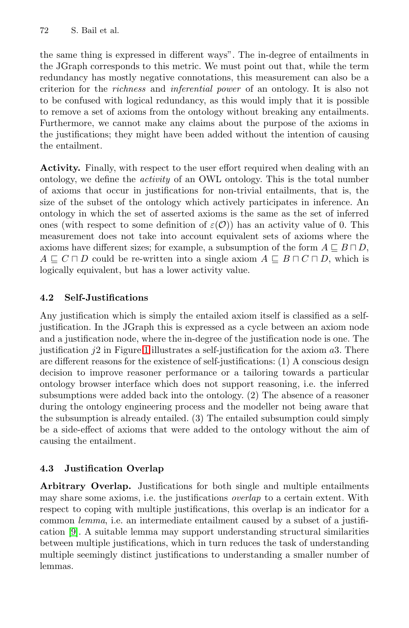the same thing is expressed in different ways". The in-degree of entailments in the JGraph corresponds to this metric. We must point out that, while the term redundancy has mostly negative connotations, this measurement can also be a criterion for the *richness* and *inferential power* of an ontology. It is also not to be confused with logical redundancy, as this would imply that it is possible to remove a set of axioms from the ontology without breaking any entailments. Furthermore, we cannot make any claims about the purpose of the axioms in the justifications; they might have been added without the intention of causing the entailment.

**Activity.** Finally, with respect to the user effort required when dealing with an ontology, we define the *activity* of an OWL ontology. This is the total number of axioms that occur in justifications for non-trivial entailments, that is, the size of the subset of the ontology which actively participates in inference. An ontology in which the set of asserted axioms is the same as the set of inferred ones (with respect to some definition of  $\varepsilon(\mathcal{O})$ ) has an activity value of 0. This measurement does not take into account equivalent sets of axioms where the axioms have different sizes; for example, a subsumption of the form  $A \sqsubseteq B \sqcap D$ ,  $A \subseteq C \sqcap D$  $A \subseteq C \sqcap D$  $A \subseteq C \sqcap D$  could be re-written into a single axiom  $A \subseteq B \sqcap C \sqcap D$ , which is logically equivalent, but has a lower activity value.

### **4.2 Self-Justifications**

Any justification which is simply the entailed axiom itself is classified as a selfjustification. In the JGraph this is expressed as a cycle between an axiom node and a justification node, where the in-degree of the justification node is one. The justification  $i^2$  in Figure 1 illustrates a self-justification for the axiom a3. There are different reasons for the existence of self-justifications: (1) A conscious design decision to improve reasoner performance or a tailoring towards a particular ontology browser interface which does not support reasoning, i.e. the inferred subsumptions were added back into the ontology. (2) The absence of a reasoner during the ontology engineering process and the modeller not being aware that the subsumption is already entailed. (3) The entailed subsumption could simply be a side-effect of axioms that were added to the ontology without the aim of causing the entailment.

## **4.3 Justification Overlap**

**Arbitrary Overlap.** Justifications for both single and multiple entailments may share some axioms, i.e. the justifications *overlap* to a certain extent. With respect to coping with multiple justifications, this overlap is an indicator for a common *lemma*, i.e. an intermediate entailment caused by a subset of a justification [9]. A suitable lemma may support understanding structural similarities between multiple justifications, which in turn reduces the task of understanding multiple seemingly distinct justifications to understanding a smaller number of lemmas.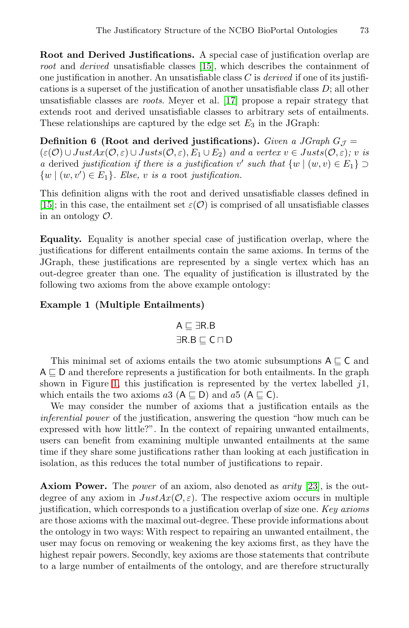**Root and Derived Justifications.** A special case of justification overlap are *root* and *derived* unsatisfiable classes [15], which describes the containment of one justification in another. An unsatisfiable class C is *derived* if one of its justifications is a superset of the justification of another unsatisfiable class  $D$ ; all other unsatisfiable classes are *roots*. Meyer et al. [17] propose a repair strategy that extends root and derived unsatisfiable classes to arbitrary sets of entailments. These relationships are captured by the edge set  $E_3$  in the JGraph:

**Definition 6 (Root and derived justifications).** *Given a JGraph*  $G_{\mathcal{J}} =$  $(\varepsilon(\mathcal{O}) \cup JustAx(\mathcal{O},\varepsilon) \cup Justs(\mathcal{O},\varepsilon), E_1 \cup E_2)$  and a vertex  $v \in Just(\mathcal{O},\varepsilon); v$  is *a* derived *justification* if there is a *justification* v' such that  $\{w \mid (w, v) \in E_1\}$  $\{w \mid (w, v') \in E_1\}$ . Else, v is a root justification.

This definition aligns with the root and derived unsatisfiable classes defined in [15]; in this case, the entailment set  $\varepsilon(\mathcal{O})$  is comprised of all unsatisfiable classes in an ontology  $\mathcal{O}$ .

**Equality.** Equality is another special case of justification overlap, where the justifications for different entailments contain the same axioms. In terms of the JGraph, these justifications are represented by a single vertex which has an out-degree greater than one. The equality of justification is illustrated by the following two axioms from the above example ontology:

## **Example 1 (Multiple Entailments)**

$$
A \sqsubseteq \exists R.B
$$
  

$$
\exists R.B \sqsubseteq C \sqcap D
$$

This minimal set of axioms entails the two atomic subsumptions  $A \sqsubseteq C$  and  $A \subseteq D$  and therefore represents a justification for both entailments. In the graph shown in Figure 1, this justification is represented by the vertex labelled  $i$ 1, which ent[a](#page-15-3)ils the two axioms a3 ( $A \sqsubseteq D$ ) and a5 ( $A \sqsubseteq C$ ).

We may consider the number of axioms that a justification entails as the *inferential power* of the justification, answering the question "how much can be expressed with how little?". In the context of repairing unwanted entailments, users can benefit from examining multiple unwanted entailments at the same time if they share some justifications rather than looking at each justification in isolation, as this reduces the total number of justifications to repair.

**Axiom Power.** The *power* of an axiom, also denoted as *arity* [23], is the outdegree of any axiom in  $JustAx(\mathcal{O},\varepsilon)$ . The respective axiom occurs in multiple justification, which corresponds to a justification overlap of size one. *Key axioms* are those axioms with the maximal out-degree. These provide informations about the ontology in two ways: With respect to repairing an unwanted entailment, the user may focus on removing or weakening the key axioms first, as they have the highest repair powers. Secondly, key axioms are those statements that contribute to a large number of entailments of the ontology, and are therefore structurally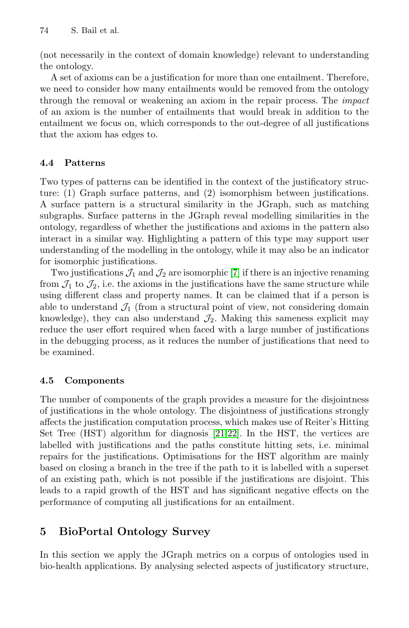(not necessarily in the context of domain knowledge) relevant to understanding the ontology.

A set of axioms can be a justification for more than one entailment. Therefore, we need to consider how many entailments would be removed from the ontology through the removal or weakening an axiom in the repair process. The *impact* of an axiom is the number of entailments that would break in addition to the entailment we focus on, which corresponds to the out-degree of all justifications that the axiom has edges to.

## **4.4 Patterns**

Two types of patterns can [be](#page-14-3) identified in the context of the justificatory structure: (1) Graph surface patterns, and (2) isomorphism between justifications. A surface pattern is a structural similarity in the JGraph, such as matching subgraphs. Surface patterns in the JGraph reveal modelling similarities in the ontology, regardless of whether the justifications and axioms in the pattern also interact in a similar way. Highlighting a pattern of this type may support user understanding of the modelling in the ontology, while it may also be an indicator for isomorphic justifications.

Two justifications  $\mathcal{J}_1$  and  $\mathcal{J}_2$  are isomorphic [7] if there is an injective renaming from  $\mathcal{J}_1$  to  $\mathcal{J}_2$ , i.e. the axioms in the justifications have the same structure while using different class and property names. It can be claimed that if a person is able to understand  $\mathcal{J}_1$  (from a structural point of view, not considering domain knowledge), they can also understand  $\mathcal{J}_2$ . Making this sameness explicit may reduce the user effort required when faced with a large number of justifications in the debugging proce[ss,](#page-15-2) [as i](#page-15-4)t reduces the number of justifications that need to be examined.

### **4.5 Components**

The number of components of the graph provides a measure for the disjointness of justifications in the whole ontology. The disjointness of justifications strongly affects the justification computation process, which makes use of Reiter's Hitting Set Tree (HST) algorithm for diagnosis [21,22]. In the HST, the vertices are labelled with justifications and the paths constitute hitting sets, i.e. minimal repairs for the justifications. Optimisations for the HST algorithm are mainly based on closing a branch in the tree if the path to it is labelled with a superset of an existing path, which is not possible if the justifications are disjoint. This leads to a rapid growth of the HST and has significant negative effects on the performance of computing all justifications for an entailment.

# **5 BioPortal Ontology Survey**

In this section we apply the JGraph metrics on a corpus of ontologies used in bio-health applications. By analysing selected aspects of justificatory structure,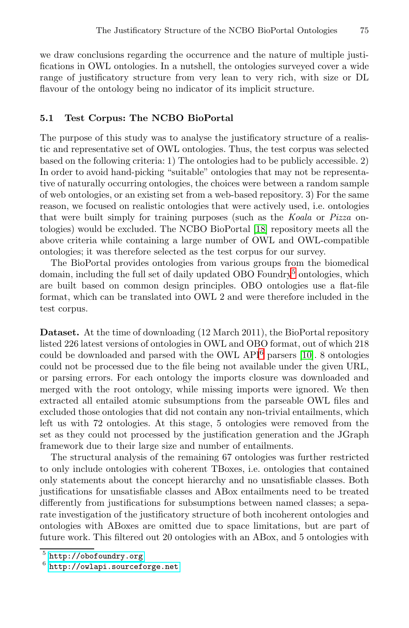we draw conclusions regarding the occurrence and the nature of multiple justifications in OWL ontologies. In a nutshell, the ontologies surveyed cover a wide range of justificatory structure from very lean to very rich, with size or DL flavour of the ontology being no indicator of its implicit structure.

## **5.1 Test Corpus: The NCBO BioPortal**

The purpose of this study was t[o an](#page-15-5)alyse the justificatory structure of a realistic and representative set of OWL ontologies. Thus, the test corpus was selected based on the following criteria: 1) The ontologies had to be publicly accessible. 2) In order to avoid hand-picking "suitable" ontologies that may not be representative of naturally occurring ontologies, the [ch](#page-8-0)oices were between a random sample of web ontologies, or an existing set from a web-based repository. 3) For the same reason, we focused on realistic ontologies that were actively used, i.e. ontologies that were built simply for training purposes (such as the *Koala* or *Pizza* ontologies) would be excluded. The NCBO BioPortal [18] repository meets all the above criteria while containing a large number of OWL and OWL-compatible ontologies; it was therefore selected as the test corpus for our survey.

The BioPortal provides ontolo[gi](#page-8-1)es from [vari](#page-15-6)ous groups from the biomedical domain, including the full set of daily updated OBO Foundry<sup>5</sup> ontologies, which are built based on common design principles. OBO ontologies use a flat-file format, which can be translated into OWL 2 and were therefore included in the test corpus.

**Dataset.** At the time of downloading (12 March 2011), the BioPortal repository listed 226 latest versions of ontologies in OWL and OBO format, out of which 218 could be downloaded and parsed with the OWL API<sup>6</sup> parsers [10]. 8 ontologies could not be processed due to the file being not available under the given URL, or parsing errors. For each ontology the imports closure was downloaded and merged with the root ontology, while missing imports were ignored. We then extracted all entailed atomic subsumptions from the parseable OWL files and excluded those ontologies that did not contain any non-trivial entailments, which left us with 72 ontologies. At this stage, 5 ontologies were removed from the set as they could not processed by the justification generation and the JGraph framework due to their large size and number of entailments.

<span id="page-8-1"></span><span id="page-8-0"></span>The structural analysis of the remaining 67 ontologies was further restricted [to only](http://obofoundry.org) include ontologies with coherent TBoxes, i.e. ontologies that contained [only statement](http://owlapi.sourceforge.net)s about the concept hierarchy and no unsatisfiable classes. Both justifications for unsatisfiable classes and ABox entailments need to be treated differently from justifications for subsumptions between named classes; a separate investigation of the justificatory structure of both incoherent ontologies and ontologies with ABoxes are omitted due to space limitations, but are part of future work. This filtered out 20 ontologies with an ABox, and 5 ontologies with

<sup>5</sup> http://obofoundry.org

 $6$  http://owlapi.sourceforge.net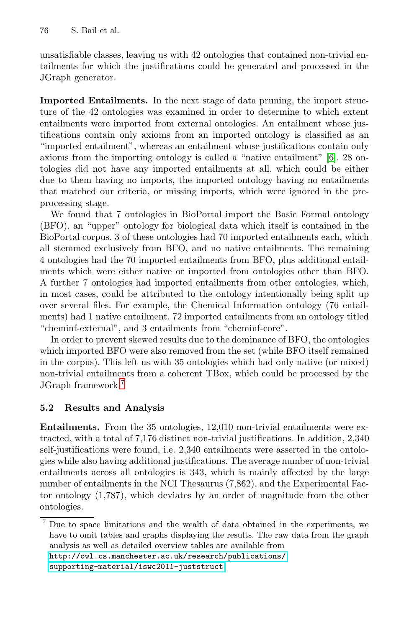unsatisfiable classes, leaving us with 42 ontologies that contained non-trivial entailments for which the justifications could be ge[ner](#page-14-2)ated and processed in the JGraph generator.

**Imported Entailments.** In the next stage of data pruning, the import structure of the 42 ontologies was examined in order to determine to which extent entailments were imported from external ontologies. An entailment whose justifications contain only axioms from an imported ontology is classified as an "imported entailment", whereas an entailment whose justifications contain only axioms from the importing ontology is called a "native entailment" [6]. 28 ontologies did not have any imported entailments at all, which could be either due to them having no imports, the imported ontology having no entailments that matched our criteria, or missing imports, which were ignored in the preprocessing stage.

We found that 7 ontologies in BioPortal import the Basic Formal ontology (BFO), an "upper" ontology for biological data which itself is contained in the BioPortal corpus. 3 of these ontologies had 70 imported entailments each, which all stemmed exclusively from BFO, and no native entailments. The remaining 4 ontologies had the 70 imported entailments from BFO, plus additional entailments which were either native or imported from ontologies other than BFO. A further 7 ontologies had imported entailments from other ontologies, which, [in](#page-9-0) most cases, could be attributed to the ontology intentionally being split up over several files. For example, the Chemical Information ontology (76 entailments) had 1 native entailment, 72 imported entailments from an ontology titled "cheminf-external", and 3 entailments from "cheminf-core".

In order to prevent skewed results due to the dominance of BFO, the ontologies which imported BFO were also removed from the set (while BFO itself remained in the corpus). This left us with 35 ontologies which had only native (or mixed) non-trivial entailments from a coherent TBox, which could be processed by the JGraph framework.<sup>7</sup>

#### **5.2 Results and Analysis**

<span id="page-9-0"></span>**Entailments.** From the 35 ontologies, 12,010 non-trivial entailments were extracted, with a total of 7,176 distinct non-trivial justifications. In addition, 2,340 self-justifications were found, i.e. 2,340 entailments were asserted in the ontologies while also having additional justifications. The average number of non-trivial [entailments](http://owl.cs.manchester.ac.uk/research/publications/supporting-material/iswc2011-juststruct) [across](http://owl.cs.manchester.ac.uk/research/publications/supporting-material/iswc2011-juststruct) [all](http://owl.cs.manchester.ac.uk/research/publications/supporting-material/iswc2011-juststruct) [ontologies](http://owl.cs.manchester.ac.uk/research/publications/supporting-material/iswc2011-juststruct) [is](http://owl.cs.manchester.ac.uk/research/publications/supporting-material/iswc2011-juststruct) [343,](http://owl.cs.manchester.ac.uk/research/publications/supporting-material/iswc2011-juststruct) which is mainly affected by the large [number](http://owl.cs.manchester.ac.uk/research/publications/supporting-material/iswc2011-juststruct) [of](http://owl.cs.manchester.ac.uk/research/publications/supporting-material/iswc2011-juststruct) [entailments](http://owl.cs.manchester.ac.uk/research/publications/supporting-material/iswc2011-juststruct) [in](http://owl.cs.manchester.ac.uk/research/publications/supporting-material/iswc2011-juststruct) [t](http://owl.cs.manchester.ac.uk/research/publications/supporting-material/iswc2011-juststruct)he NCI Thesaurus (7,862), and the Experimental Factor ontology (1,787), which deviates by an order of magnitude from the other ontologies.

<sup>7</sup> Due to space limitations and the wealth of data obtained in the experiments, we have to omit tables and graphs displaying the results. The raw data from the graph analysis as well as detailed overview tables are available from http://owl.cs.manchester.ac.uk/research/publications/ supporting-material/iswc2011-juststruct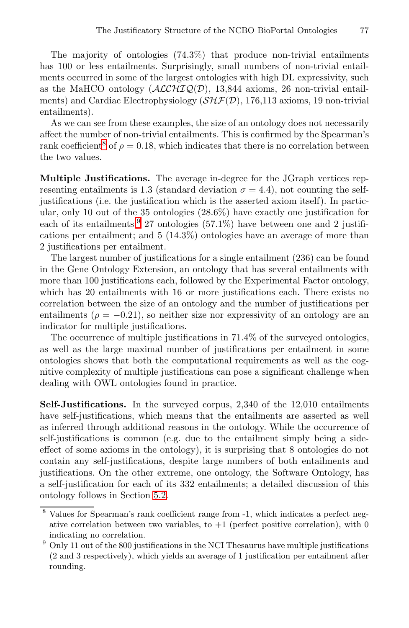The majority of ontologies (74.3%) that produce non-trivial entailments has 100 or less entailments. Surprisingly, small numbers of non-trivial entailments occurred in some of the largest ontologies with high DL expressivity, such as the MaHCO ontology  $(ACCHIQ(D), 13,844)$  axioms, 26 non-trivial entailments) and Cardiac Electrophysiology  $(SH\mathcal{F}(D), 176, 113 \text{ axioms}, 19 \text{ non-trivial})$ entailments).

As we can see from these examples, the size of an ontology does not necessarily affe[ct](#page-10-0) the number of non-trivial entailments. This is confirmed by the Spearman's rank coefficient<sup>8</sup> of  $\rho = 0.18$ , which indicates that there is no correlation between the two values.

**Multiple Justifications.** The average in-degree for the JGraph vertices representing entailments is 1.3 (standard deviation  $\sigma = 4.4$ ), not counting the selfjustifications (i.e. the justification which is the asserted axiom itself). In particular, only 10 out of the 35 ontologies (28.6%) have exactly one justification for each of its entailments;  $927$  ontologies (57.1%) have between one and 2 justifications per entailment; and 5 (14.3%) ontologies have an average of more than 2 justifications per entailment.

The largest number of justifications for a single entailment (236) can be found in the Gene Ontology Extension, an ontology that has several entailments with more than 100 justifications each, followed by the Experimental Factor ontology, which has 20 entailments with 16 or more justifications each. There exists no correlation between the size of an ontology and the number of justifications per entailments ( $\rho = -0.21$ ), so neither size nor expressivity of an ontology are an indicator for multiple justifications.

The occurrence of multiple justifications in 71.4% of the surveyed ontologies, as well as the large maximal number of justifications per entailment in some ontologies shows that both the computational requirements as well as the cognitive complexity of multiple justifications can pose a significant challenge when dealing with OWL ontologies found in practice.

**Self-Ju[stifi](#page-12-0)cations.** In the surveyed corpus, 2,340 of the 12,010 entailments have self-justifications, which means that the entailments are asserted as well as inferred through additional reasons in the ontology. While the occurrence of self-justifications is common (e.g. due to the entailment simply being a sideeffect of some axioms in the ontology), it is surprising that 8 ontologies do not contain any self-justifications, despite large numbers of both entailments and justifications. On the other extreme, one ontology, the Software Ontology, has a self-justification for each of its 332 entailments; a detailed discussion of this ontology follows in Section 5.2.

<span id="page-10-0"></span><sup>8</sup> Values for Spearman's rank coefficient range from -1, which indicates a perfect negative correlation between two variables, to  $+1$  (perfect positive correlation), with 0 indicating no correlation.

 $9$  Only 11 out of the 800 justifications in the NCI Thesaurus have multiple justifications (2 and 3 respectively), which yields an average of 1 justification per entailment after rounding.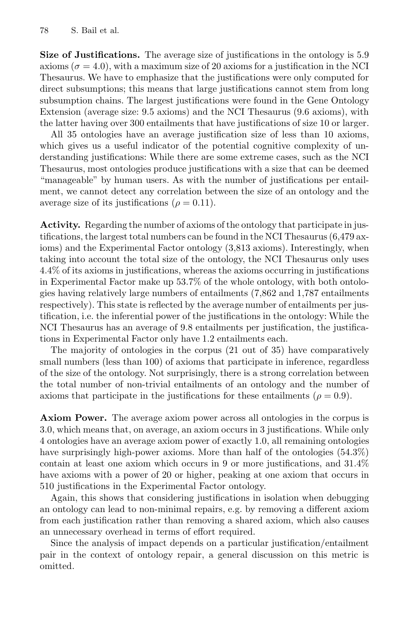**Size of Justifications.** The average size of justifications in the ontology is 5.9 axioms ( $\sigma = 4.0$ ), with a maximum size of 20 axioms for a justification in the NCI Thesaurus. We have to emphasize that the justifications were only computed for direct subsumptions; this means that large justifications cannot stem from long subsumption chains. The largest justifications were found in the Gene Ontology Extension (average size: 9.5 axioms) and the NCI Thesaurus (9.6 axioms), with the latter having over 300 entailments that have justifications of size 10 or larger.

All 35 ontologies have an average justification size of less than 10 axioms, which gives us a useful indicator of the potential cognitive complexity of understanding justifications: While there are some extreme cases, such as the NCI Thesaurus, most ontologies produce justifications with a size that can be deemed "manageable" by human users. As with the number of justifications per entailment, we cannot detect any correlation between the size of an ontology and the average size of its justifications ( $\rho = 0.11$ ).

**Activity.** Regarding the number of axioms of the ontology that participate in justifications, the largest total numbers can be found in the NCI Thesaurus (6,479 axioms) and the Experimental Factor ontology (3,813 axioms). Interestingly, when taking into account the total size of the ontology, the NCI Thesaurus only uses 4.4% of its axioms in justifications, whereas the axioms occurring in justifications in Experimental Factor make up 53.7% of the whole ontology, with both ontologies having relatively large numbers of entailments (7,862 and 1,787 entailments respectively). This state is reflected by the average number of entailments per justification, i.e. the inferential power of the justifications in the ontology: While the NCI Thesaurus has an average of 9.8 entailments per justification, the justifications in Experimental Factor only have 1.2 entailments each.

The majority of ontologies in the corpus (21 out of 35) have comparatively small numbers (less than 100) of axioms that participate in inference, regardless of the size of the ontology. Not surprisingly, there is a strong correlation between the total number of non-trivial entailments of an ontology and the number of axioms that participate in the justifications for these entailments ( $\rho = 0.9$ ).

**Axiom Power.** The average axiom power across all ontologies in the corpus is 3.0, which means that, on average, an axiom occurs in 3 justifications. While only 4 ontologies have an average axiom power of exactly 1.0, all remaining ontologies have surprisingly high-power axioms. More than half of the ontologies  $(54.3\%)$ contain at least one axiom which occurs in 9 or more justifications, and 31.4% have axioms with a power of 20 or higher, peaking at one axiom that occurs in 510 justifications in the Experimental Factor ontology.

Again, this shows that considering justifications in isolation when debugging an ontology can lead to non-minimal repairs, e.g. by removing a different axiom from each justification rather than removing a shared axiom, which also causes an unnecessary overhead in terms of effort required.

Since the analysis of impact depends on a particular justification/entailment pair in the context of ontology repair, a general discussion on this metric is omitted.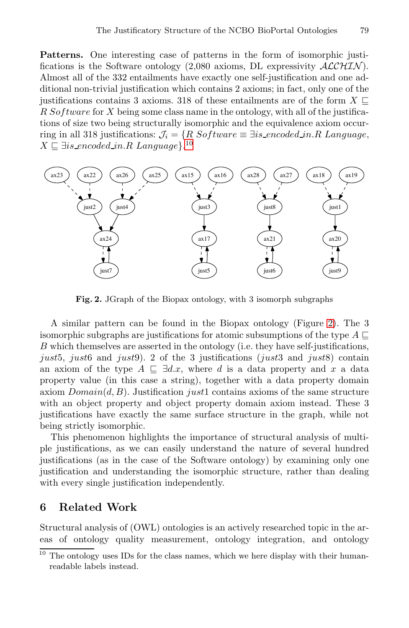<span id="page-12-0"></span>Patterns. On[e in](#page-12-1)teresting case of patterns in the form of isomorphic justifications is the Software ontology (2,080 axioms, DL expressivity  $\mathcal{ALCHIN}$ ). Almost all of the 332 entailments have exactly one self-justification and one additional non-trivial justification which contains 2 axioms; in fact, only one of the justifications contains 3 axioms. 318 of these entailments are of the form  $X \subseteq$  $R$  Software for  $X$  being some class name in the ontology, with all of the justifications of size two being structurally isomorphic and the equivalence axiom occurring in all 318 justifications:  $\mathcal{J}_i = \{R\;Software \equiv \exists is\; encoded\_in.R\;Language,$  $X \sqsubseteq \exists is\_encoded\_in.R\ Language$ <sup>10</sup>



**Fig. 2.** JGraph of the Biopax ontology, with 3 isomorph subgraphs

A similar pattern can be found in the Biopax ontology (Figure 2). The 3 isomorphic subgraphs are justifications for atomic subsumptions of the type  $A \sqsubseteq$ B which themselves are asserted in the ontology (i.e. they have self-justifications, just5, just6 and just9). 2 of the 3 justifications (just3 and just8) contain an axiom of the type  $A \subseteq \exists d.x$ , where d is a data property and x a data property value (in this case a string), together with a data property domain axiom  $Domain(d, B)$ . Justification *just*1 contains axioms of the same structure with an object property and object property domain axiom instead. These 3 justifications have exactly the same surface structure in the graph, while not being strictly isomorphic.

This phenomenon highlights the importance of structural analysis of multiple justifications, as we can easily understand the nature of several hundred justifications (as in the case of the Software ontology) by examining only one justification and understanding the isomorphic structure, rather than dealing with every single justification independently.

## <span id="page-12-1"></span>**6 Related Work**

Structural analysis of (OWL) ontologies is an actively researched topic in the areas of ontology quality measurement, ontology integration, and ontology

 $10$  The ontology uses IDs for the class names, which we here display with their humanreadable labels instead.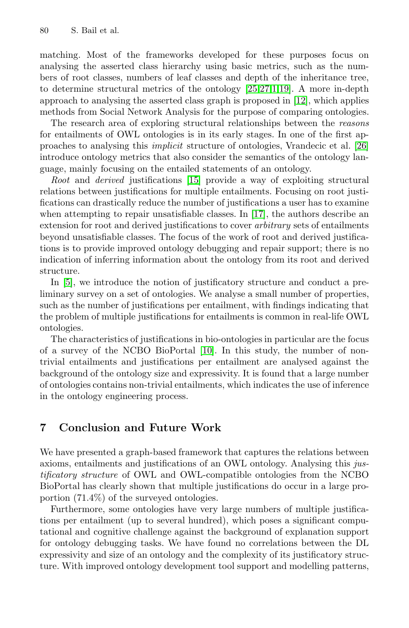matching. Most of the frameworks developed for the[se](#page-15-7) purposes focus on analysing the asserted class hierarchy using basic metrics, such as the numbers of root classes, numbers of leaf classes and depth of the inheritance tree, to determine str[uct](#page-15-0)ural metrics of the ontology [25,27,1,19]. A more in-depth approach to analysing the asserted class graph is proposed in [12], which applies methods from Social Network Analysis for the purpose of comparing ontologies.

The research area of explori[ng s](#page-15-8)tructural relationships between the *reasons* for entailments of OWL ontologies is in its early stages. In one of the first approaches to analysing this *implicit* structure of ontologies, Vrandecic et al. [26] introduce ontology metrics that also consider the semantics of the ontology language, mainly focusing on the entailed statements of an ontology.

*Root* and *derived* justifications [15] provide a way of exploiting structural relations between justifications for multiple entailments. Focusing on root justifications can drastically reduce the number of justifications a user has to examine when attempting to repair unsatisfiable classes. In [17], the authors describe an extension for root and derived justifications to cover *arbitrary* sets of entailments beyond unsatisfiable classes. The focus of the work of root and derived justifications is to provide improved ontology debugging and repair support; there is no indication of inferri[ng i](#page-15-6)nformation about the ontology from its root and derived structure.

In [5], we introduce the notion of justificatory structure and conduct a preliminary survey on a set of ontologies. We analyse a small number of properties, such as the number of justifications per entailment, with findings indicating that the problem of multiple justifications for entailments is common in real-life OWL ontologies.

The characteristics of justifications in bio-ontologies in particular are the focus of a survey of the NCBO BioPortal [10]. In this study, the number of nontrivial entailments and justifications per entailment are analysed against the background of the ontology size and expressivity. It is found that a large number of ontologies contains non-trivial entailments, which indicates the use of inference in the ontology engineering process.

# **7 Conclusion and Future Work**

We have presented a graph-based framework that captures the relations between axioms, entailments and justifications of an OWL ontology. Analysing this *justificatory structure* of OWL and OWL-compatible ontologies from the NCBO BioPortal has clearly shown that multiple justifications do occur in a large proportion (71.4%) of the surveyed ontologies.

Furthermore, some ontologies have very large numbers of multiple justifications per entailment (up to several hundred), which poses a significant computational and cognitive challenge against the background of explanation support for ontology debugging tasks. We have found no correlations between the DL expressivity and size of an ontology and the complexity of its justificatory structure. With improved ontology development tool support and modelling patterns,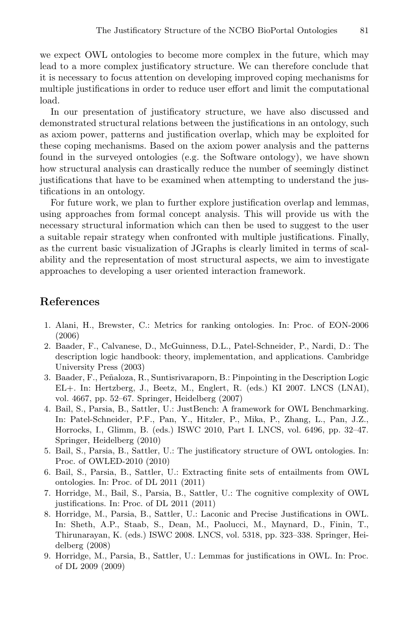we expect OWL ontologies to become more complex in the future, which may lead to a more complex justificatory structure. We can therefore conclude that it is necessary to focus attention on developing improved coping mechanisms for multiple justifications in order to reduce user effort and limit the computational load.

In our presentation of justificatory structure, we have also discussed and demonstrated structural relations between the justifications in an ontology, such as axiom power, patterns and justification overlap, which may be exploited for these coping mechanisms. Based on the axiom power analysis and the patterns found in the surveyed ontologies (e.g. the Software ontology), we have shown how structural analysis can drastically reduce the number of seemingly distinct justifications that have to be examined when attempting to understand the justifications in an ontology.

For future work, we plan to further explore justification overlap and lemmas, using approaches from formal concept analysis. This will provide us with the necessary structural information which can then be used to suggest to the user a suitable repair strategy when confronted with multiple justifications. Finally, as the current basic visualization of JGraphs is clearly limited in terms of scalability and the representation of most structural aspects, we aim to investigate approaches to developing a user oriented interaction framework.

# **References**

- 1. Alani, H., Brewster, C.: Metrics for ranking ontologies. In: Proc. of EON-2006 (2006)
- <span id="page-14-1"></span>2. Baader, F., Calvanese, D., McGuinness, D.L., Patel-Schneider, P., Nardi, D.: The description logic handbook: theory, implementation, and applications. Cambridge University Press (2003)
- 3. Baader, F., Peñaloza, R., Suntisrivaraporn, B.: Pinpointing in the Description Logic EL+. In: Hertzberg, J., Beetz, M., Englert, R. (eds.) KI 2007. LNCS (LNAI), vol. 4667, pp. 52–67. Springer, Heidelberg (2007)
- <span id="page-14-0"></span>4. Bail, S., Parsia, B., Sattler, U.: JustBench: A framework for OWL Benchmarking. In: Patel-Schneider, P.F., Pan, Y., Hitzler, P., Mika, P., Zhang, L., Pan, J.Z., Horrocks, I., Glimm, B. (eds.) ISWC 2010, Part I. LNCS, vol. 6496, pp. 32–47. Springer, Heidelberg (2010)
- 5. Bail, S., Parsia, B., Sattler, U.: The justificatory structure of OWL ontologies. In: Proc. of OWLED-2010 (2010)
- <span id="page-14-2"></span>6. Bail, S., Parsia, B., Sattler, U.: Extracting finite sets of entailments from OWL ontologies. In: Proc. of DL 2011 (2011)
- <span id="page-14-3"></span>7. Horridge, M., Bail, S., Parsia, B., Sattler, U.: The cognitive complexity of OWL justifications. In: Proc. of DL 2011 (2011)
- 8. Horridge, M., Parsia, B., Sattler, U.: Laconic and Precise Justifications in OWL. In: Sheth, A.P., Staab, S., Dean, M., Paolucci, M., Maynard, D., Finin, T., Thirunarayan, K. (eds.) ISWC 2008. LNCS, vol. 5318, pp. 323–338. Springer, Heidelberg (2008)
- 9. Horridge, M., Parsia, B., Sattler, U.: Lemmas for justifications in OWL. In: Proc. of DL 2009 (2009)